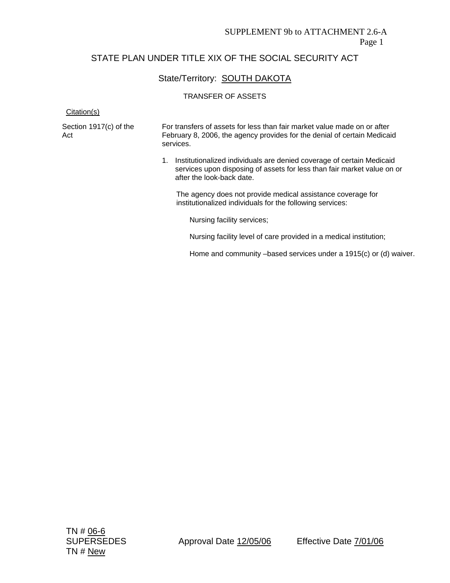## State/Territory: SOUTH DAKOTA

#### TRANSFER OF ASSETS

Citation(s)

| Section 1917(c) of the | For transfers of assets for less than fair market value made on or after |
|------------------------|--------------------------------------------------------------------------|
| Act                    | February 8, 2006, the agency provides for the denial of certain Medicaid |
|                        | services.                                                                |

1. Institutionalized individuals are denied coverage of certain Medicaid services upon disposing of assets for less than fair market value on or after the look-back date.

The agency does not provide medical assistance coverage for institutionalized individuals for the following services:

Nursing facility services;

Nursing facility level of care provided in a medical institution;

Home and community –based services under a 1915(c) or (d) waiver.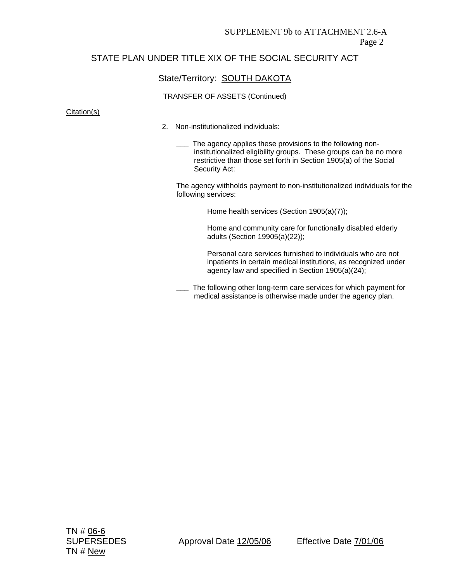### State/Territory: **SOUTH DAKOTA**

#### TRANSFER OF ASSETS (Continued)

#### Citation(s)

- 2. Non-institutionalized individuals:
	- The agency applies these provisions to the following noninstitutionalized eligibility groups. These groups can be no more restrictive than those set forth in Section 1905(a) of the Social Security Act:

The agency withholds payment to non-institutionalized individuals for the following services:

Home health services (Section 1905(a)(7));

Home and community care for functionally disabled elderly adults (Section 19905(a)(22));

Personal care services furnished to individuals who are not inpatients in certain medical institutions, as recognized under agency law and specified in Section 1905(a)(24);

**\_\_\_** The following other long-term care services for which payment for medical assistance is otherwise made under the agency plan.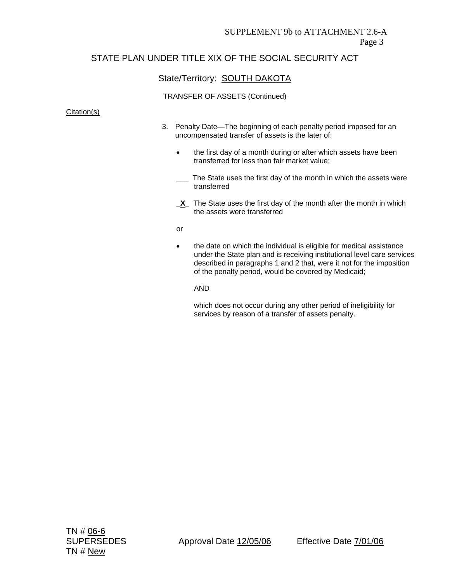## State/Territory: **SOUTH DAKOTA**

#### TRANSFER OF ASSETS (Continued)

#### Citation(s)

- 3. Penalty Date—The beginning of each penalty period imposed for an uncompensated transfer of assets is the later of:
	- the first day of a month during or after which assets have been transferred for less than fair market value;
	- The State uses the first day of the month in which the assets were transferred
	- **\_X\_** The State uses the first day of the month after the month in which the assets were transferred
	- or
	- the date on which the individual is eligible for medical assistance under the State plan and is receiving institutional level care services described in paragraphs 1 and 2 that, were it not for the imposition of the penalty period, would be covered by Medicaid;

AND

which does not occur during any other period of ineligibility for services by reason of a transfer of assets penalty.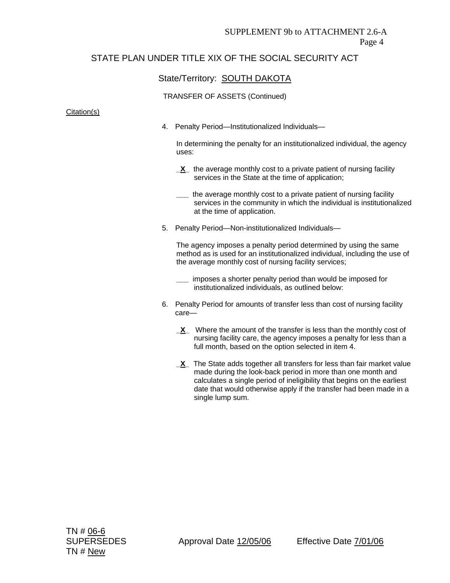### State/Territory: **SOUTH DAKOTA**

#### TRANSFER OF ASSETS (Continued)

#### Citation(s)

4. Penalty Period—Institutionalized Individuals—

In determining the penalty for an institutionalized individual, the agency uses:

- **<u>X</u>** the average monthly cost to a private patient of nursing facility services in the State at the time of application;
- **\_\_\_** the average monthly cost to a private patient of nursing facility services in the community in which the individual is institutionalized at the time of application.
- 5. Penalty Period—Non-institutionalized Individuals—

The agency imposes a penalty period determined by using the same method as is used for an institutionalized individual, including the use of the average monthly cost of nursing facility services;

- **\_\_\_** imposes a shorter penalty period than would be imposed for institutionalized individuals, as outlined below:
- 6. Penalty Period for amounts of transfer less than cost of nursing facility care—
	- **X** Where the amount of the transfer is less than the monthly cost of nursing facility care, the agency imposes a penalty for less than a full month, based on the option selected in item 4.
	- **\_X\_** The State adds together all transfers for less than fair market value made during the look-back period in more than one month and calculates a single period of ineligibility that begins on the earliest date that would otherwise apply if the transfer had been made in a single lump sum.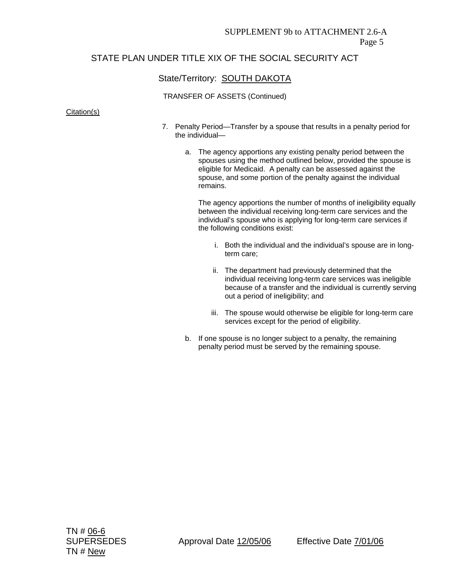## State/Territory: **SOUTH DAKOTA**

#### TRANSFER OF ASSETS (Continued)

#### Citation(s)

- 7. Penalty Period—Transfer by a spouse that results in a penalty period for the individual
	- a. The agency apportions any existing penalty period between the spouses using the method outlined below, provided the spouse is eligible for Medicaid. A penalty can be assessed against the spouse, and some portion of the penalty against the individual remains.

The agency apportions the number of months of ineligibility equally between the individual receiving long-term care services and the individual's spouse who is applying for long-term care services if the following conditions exist:

- i. Both the individual and the individual's spouse are in longterm care;
- ii. The department had previously determined that the individual receiving long-term care services was ineligible because of a transfer and the individual is currently serving out a period of ineligibility; and
- iii. The spouse would otherwise be eligible for long-term care services except for the period of eligibility.
- b. If one spouse is no longer subject to a penalty, the remaining penalty period must be served by the remaining spouse.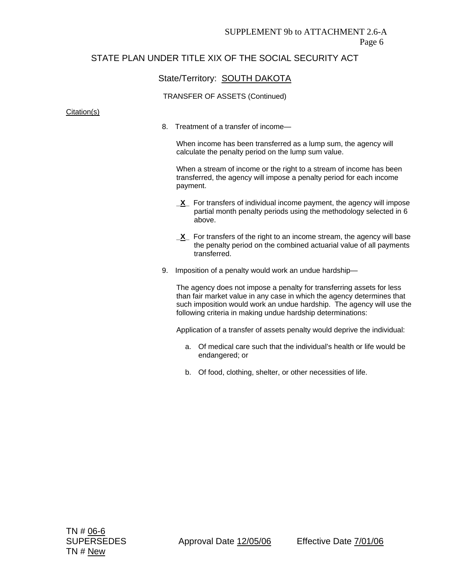### State/Territory: **SOUTH DAKOTA**

#### TRANSFER OF ASSETS (Continued)

#### Citation(s)

8. Treatment of a transfer of income—

When income has been transferred as a lump sum, the agency will calculate the penalty period on the lump sum value.

When a stream of income or the right to a stream of income has been transferred, the agency will impose a penalty period for each income payment.

- **X** For transfers of individual income payment, the agency will impose partial month penalty periods using the methodology selected in 6 above.
- **X** For transfers of the right to an income stream, the agency will base the penalty period on the combined actuarial value of all payments transferred.
- 9. Imposition of a penalty would work an undue hardship—

The agency does not impose a penalty for transferring assets for less than fair market value in any case in which the agency determines that such imposition would work an undue hardship. The agency will use the following criteria in making undue hardship determinations:

Application of a transfer of assets penalty would deprive the individual:

- a. Of medical care such that the individual's health or life would be endangered; or
- b. Of food, clothing, shelter, or other necessities of life.